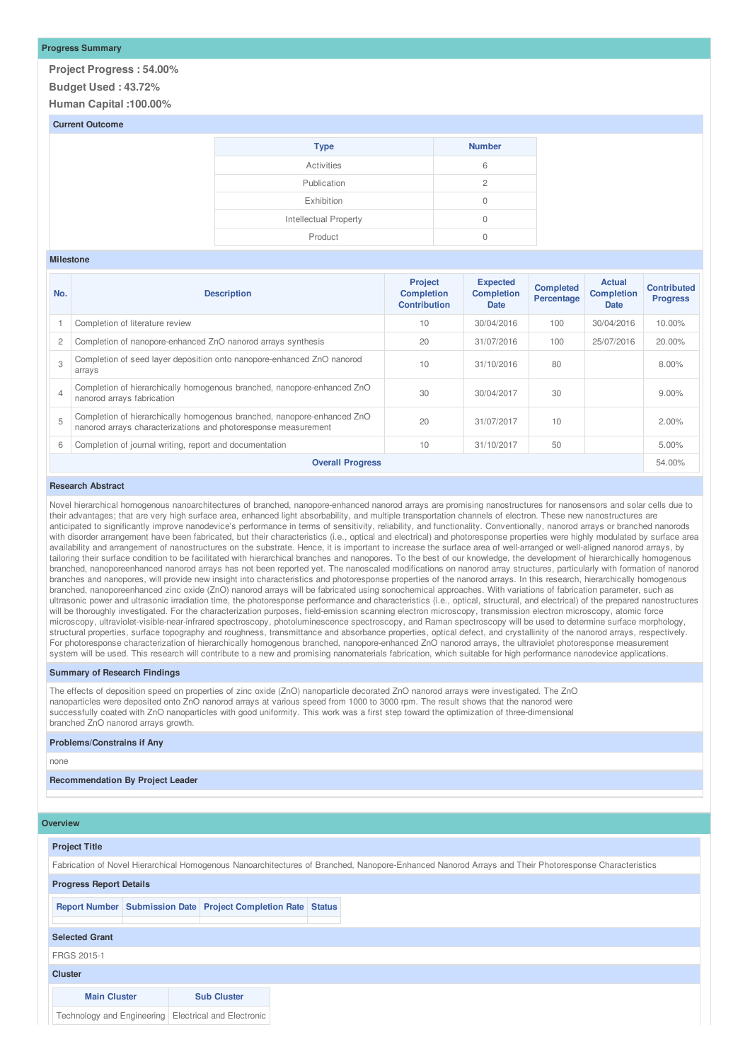## **Progress Summary**

**Project Progress : 54.00% Budget Used : 43.72%**

**Human Capital :100.00%**

## **Current Outcome**

| <b>Type</b>           | <b>Number</b> |
|-----------------------|---------------|
| Activities            | 6             |
| Publication           | 2             |
| Exhibition            | $\Omega$      |
| Intellectual Property | 0             |
| Product               |               |

#### **Milestone**

| No.            | <b>Description</b>                                                                                                                        | <b>Project</b><br><b>Completion</b><br><b>Contribution</b> | <b>Expected</b><br><b>Completion</b><br>Date | <b>Completed</b><br>Percentage | <b>Actual</b><br><b>Completion</b><br>Date | <b>Contributed</b><br><b>Progress</b> |
|----------------|-------------------------------------------------------------------------------------------------------------------------------------------|------------------------------------------------------------|----------------------------------------------|--------------------------------|--------------------------------------------|---------------------------------------|
|                | Completion of literature review                                                                                                           | 10                                                         | 30/04/2016                                   | 100                            | 30/04/2016                                 | $10.00\%$                             |
| $\overline{c}$ | Completion of nanopore-enhanced ZnO nanorod arrays synthesis                                                                              | 20                                                         | 31/07/2016                                   | 100                            | 25/07/2016                                 | 20.00%                                |
| $\mathcal{S}$  | Completion of seed layer deposition onto nanopore-enhanced ZnO nanorod<br>arrays                                                          | 10                                                         | 31/10/2016                                   | 80                             |                                            | 8.00%                                 |
| $\overline{4}$ | Completion of hierarchically homogenous branched, nanopore-enhanced ZnO<br>nanorod arrays fabrication                                     | 30                                                         | 30/04/2017                                   | 30                             |                                            | $9.00\%$                              |
| 5              | Completion of hierarchically homogenous branched, nanopore-enhanced ZnO<br>nanorod arrays characterizations and photoresponse measurement | 20                                                         | 31/07/2017                                   | 10                             |                                            | 2.00%                                 |
| 6              | Completion of journal writing, report and documentation                                                                                   | 10                                                         | 31/10/2017                                   | 50                             |                                            | 5.00%                                 |
|                | <b>Overall Progress</b>                                                                                                                   |                                                            |                                              |                                |                                            | 54.00%                                |

### **Research Abstract**

Novel hierarchical homogenous nanoarchitectures of branched, nanopore-enhanced nanorod arrays are promising nanostructures for nanosensors and solar cells due to their advantages; that are very high surface area, enhanced light absorbability, and multiple transportation channels of electron. These new nanostructures are anticipated to significantly improve nanodevice's performance in terms of sensitivity, reliability, and functionality. Conventionally, nanorod arrays or branched nanorods with disorder arrangement have been fabricated, but their characteristics (i.e., optical and electrical) and photoresponse properties were highly modulated by surface area availability and arrangement of nanostructures on the substrate. Hence, it is important to increase the surface area of well-arranged or well-aligned nanorod arrays, by tailoring their surface condition to be facilitated with hierarchical branches and nanopores. To the best of our knowledge, the development of hierarchically homogenous branched, nanoporeenhanced nanorod arrays has not been reported yet. The nanoscaled modifications on nanorod array structures, particularly with formation of nanorod branches and nanopores, will provide new insight into characteristics and photoresponse properties of the nanorod arrays. In this research, hierarchically homogenous branched, nanoporeenhanced zinc oxide (ZnO) nanorod arrays will be fabricated using sonochemical approaches. With variations of fabrication parameter, such as ultrasonic power and ultrasonic irradiation time, the photoresponse performance and characteristics (i.e., optical, structural, and electrical) of the prepared nanostructures will be thoroughly investigated. For the characterization purposes, field-emission scanning electron microscopy, transmission electron microscopy, atomic force microscopy, ultraviolet-visible-near-infrared spectroscopy, photoluminescence spectroscopy, and Raman spectroscopy will be used to determine surface morphology, structural properties, surface topography and roughness, transmittance and absorbance properties, optical defect, and crystallinity of the nanorod arrays, respectively. For photoresponse characterization of hierarchically homogenous branched, nanopore-enhanced ZnO nanorod arrays, the ultraviolet photoresponse measurement system will be used. This research will contribute to a new and promising nanomaterials fabrication, which suitable for high performance nanodevice applications.

### **Summary of Research Findings**

The effects of deposition speed on properties of zinc oxide (ZnO) nanoparticle decorated ZnO nanorod arrays were investigated. The ZnO nanoparticles were deposited onto ZnO nanorod arrays at various speed from 1000 to 3000 rpm. The result shows that the nanorod were successfully coated with ZnO nanoparticles with good uniformity. This work was a first step toward the optimization of three-dimensional branched ZnO nanorod arrays growth.

#### **Problems/Constrains if Any**

none

## **Recommendation By Project Leader**

#### **Overview**

| <b>Project Title</b>           |                                                                                                                                                      |  |
|--------------------------------|------------------------------------------------------------------------------------------------------------------------------------------------------|--|
|                                |                                                                                                                                                      |  |
|                                | Fabrication of Novel Hierarchical Homogenous Nanoarchitectures of Branched, Nanopore-Enhanced Nanorod Arrays and Their Photoresponse Characteristics |  |
| <b>Progress Report Details</b> |                                                                                                                                                      |  |
|                                |                                                                                                                                                      |  |
|                                | Report Number   Submission Date   Project Completion Rate   Status                                                                                   |  |
|                                |                                                                                                                                                      |  |
| <b>Selected Grant</b>          |                                                                                                                                                      |  |
|                                |                                                                                                                                                      |  |
| FRGS 2015-1                    |                                                                                                                                                      |  |
| <b>Cluster</b>                 |                                                                                                                                                      |  |
|                                |                                                                                                                                                      |  |
| <b>Main Cluster</b>            | <b>Sub Cluster</b>                                                                                                                                   |  |
|                                | Technology and Engineering   Electrical and Electronic                                                                                               |  |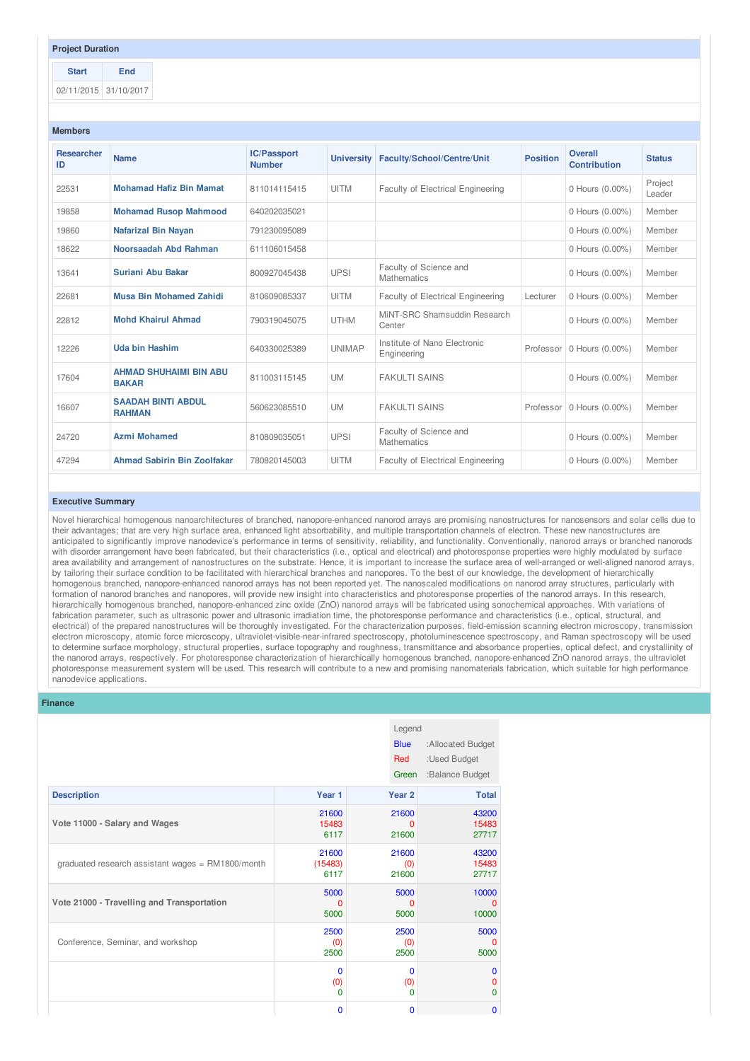## **Project Duration**

**Start End** 02/11/2015 31/10/2017

| <b>Members</b>                         |                                               |                                                                                        |               |                                              |                                |                             |                   |
|----------------------------------------|-----------------------------------------------|----------------------------------------------------------------------------------------|---------------|----------------------------------------------|--------------------------------|-----------------------------|-------------------|
| <b>Researcher</b><br><b>Name</b><br>ID |                                               | <b>IC/Passport</b><br><b>University</b><br>Faculty/School/Centre/Unit<br><b>Number</b> |               | <b>Position</b>                              | Overall<br><b>Contribution</b> | <b>Status</b>               |                   |
| 22531                                  | <b>Mohamad Hafiz Bin Mamat</b>                | 811014115415                                                                           | <b>UITM</b>   | Faculty of Electrical Engineering            |                                | 0 Hours (0.00%)             | Project<br>Leader |
| 19858                                  | <b>Mohamad Rusop Mahmood</b>                  | 640202035021                                                                           |               |                                              |                                | 0 Hours (0.00%)             | Member            |
| 19860                                  | <b>Nafarizal Bin Nayan</b>                    | 791230095089                                                                           |               |                                              |                                | 0 Hours (0.00%)             | Member            |
| 18622                                  | Noorsaadah Abd Rahman                         | 611106015458                                                                           |               |                                              |                                | 0 Hours (0.00%)             | Member            |
| 13641                                  | Suriani Abu Bakar                             | 800927045438                                                                           | <b>UPSI</b>   | Faculty of Science and<br><b>Mathematics</b> |                                | 0 Hours (0.00%)             | Member            |
| 22681                                  | <b>Musa Bin Mohamed Zahidi</b>                | 810609085337                                                                           | <b>UITM</b>   | Faculty of Electrical Engineering            | Lecturer                       | 0 Hours (0.00%)             | Member            |
| 22812                                  | <b>Mohd Khairul Ahmad</b>                     | 790319045075                                                                           | <b>UTHM</b>   | MiNT-SRC Shamsuddin Research<br>Center       |                                | 0 Hours (0.00%)             | Member            |
| 12226                                  | <b>Uda bin Hashim</b>                         | 640330025389                                                                           | <b>UNIMAP</b> | Institute of Nano Electronic<br>Engineering  | Professor                      | 0 Hours (0.00%)             | Member            |
| 17604                                  | <b>AHMAD SHUHAIMI BIN ABU</b><br><b>BAKAR</b> | 811003115145                                                                           | <b>UM</b>     | <b>FAKULTI SAINS</b>                         |                                | 0 Hours (0.00%)             | Member            |
| 16607                                  | <b>SAADAH BINTI ABDUL</b><br><b>RAHMAN</b>    | 560623085510                                                                           | <b>UM</b>     | <b>FAKULTI SAINS</b>                         |                                | Professor   0 Hours (0.00%) | Member            |
|                                        |                                               |                                                                                        |               |                                              |                                |                             |                   |

0 Hours (0.00%) Member

#### **Executive Summary**

24720 **Azmi Mohamed** 810809035051 UPSI

Novel hierarchical homogenous nanoarchitectures of branched, nanopore-enhanced nanorod arrays are promising nanostructures for nanosensors and solar cells due to their advantages; that are very high surface area, enhanced light absorbability, and multiple transportation channels of electron. These new nanostructures are anticipated to significantly improve nanodevice's performance in terms of sensitivity, reliability, and functionality. Conventionally, nanorod arrays or branched nanorods with disorder arrangement have been fabricated, but their characteristics (i.e., optical and electrical) and photoresponse properties were highly modulated by surface area availability and arrangement of nanostructures on the substrate. Hence, it is important to increase the surface area of well-arranged or well-aligned nanorod arrays, by tailoring their surface condition to be facilitated with hierarchical branches and nanopores. To the best of our knowledge, the development of hierarchically homogenous branched, nanopore-enhanced nanorod arrays has not been reported yet. The nanoscaled modifications on nanorod array structures, particularly with formation of nanorod branches and nanopores, will provide new insight into characteristics and photoresponse properties of the nanorod arrays. In this research, hierarchically homogenous branched, nanopore-enhanced zinc oxide (ZnO) nanorod arrays will be fabricated using sonochemical approaches. With variations of fabrication parameter, such as ultrasonic power and ultrasonic irradiation time, the photoresponse performance and characteristics (i.e., optical, structural, and electrical) of the prepared nanostructures will be thoroughly investigated. For the characterization purposes, field-emission scanning electron microscopy, transmission electron microscopy, atomic force microscopy, ultraviolet-visible-near-infrared spectroscopy, photoluminescence spectroscopy, and Raman spectroscopy will be used to determine surface morphology, structural properties, surface topography and roughness, transmittance and absorbance properties, optical defect, and crystallinity of the nanorod arrays, respectively. For photoresponse characterization of hierarchically homogenous branched, nanopore-enhanced ZnO nanorod arrays, the ultraviolet photoresponse measurement system will be used. This research will contribute to a new and promising nanomaterials fabrication, which suitable for high performance nanodevice applications.

47294 **Ahmad Sabirin Bin Zoolfakar** 780820145003 UITM Faculty of Electrical Engineering 0 Hours (0.00%) Member

Faculty of Science and **Mathematics** 

#### **Finance**

|                                                   |             | Legend<br><b>Blue</b><br>Red<br>Green | :Allocated Budget<br>:Used Budget<br>:Balance Budget |
|---------------------------------------------------|-------------|---------------------------------------|------------------------------------------------------|
| <b>Description</b>                                | Year 1      | Year 2                                | <b>Total</b>                                         |
| Vote 11000 - Salary and Wages                     | 21600       | 21600                                 | 43200                                                |
|                                                   | 15483       | $\Omega$                              | 15483                                                |
|                                                   | 6117        | 21600                                 | 27717                                                |
| graduated research assistant wages = RM1800/month | 21600       | 21600                                 | 43200                                                |
|                                                   | (15483)     | (0)                                   | 15483                                                |
|                                                   | 6117        | 21600                                 | 27717                                                |
| Vote 21000 - Travelling and Transportation        | 5000        | 5000                                  | 10000                                                |
|                                                   | $\Omega$    | $\Omega$                              | $\Omega$                                             |
|                                                   | 5000        | 5000                                  | 10000                                                |
| Conference, Seminar, and workshop                 | 2500        | 2500                                  | 5000                                                 |
|                                                   | (0)         | (0)                                   | $\Omega$                                             |
|                                                   | 2500        | 2500                                  | 5000                                                 |
|                                                   | $\mathbf 0$ | $\mathbf 0$                           | $\mathbf 0$                                          |
|                                                   | (0)         | (0)                                   | 0                                                    |
|                                                   | $\mathbf 0$ | 0                                     | 0                                                    |
|                                                   | $\mathbf 0$ | 0                                     | $\mathbf{0}$                                         |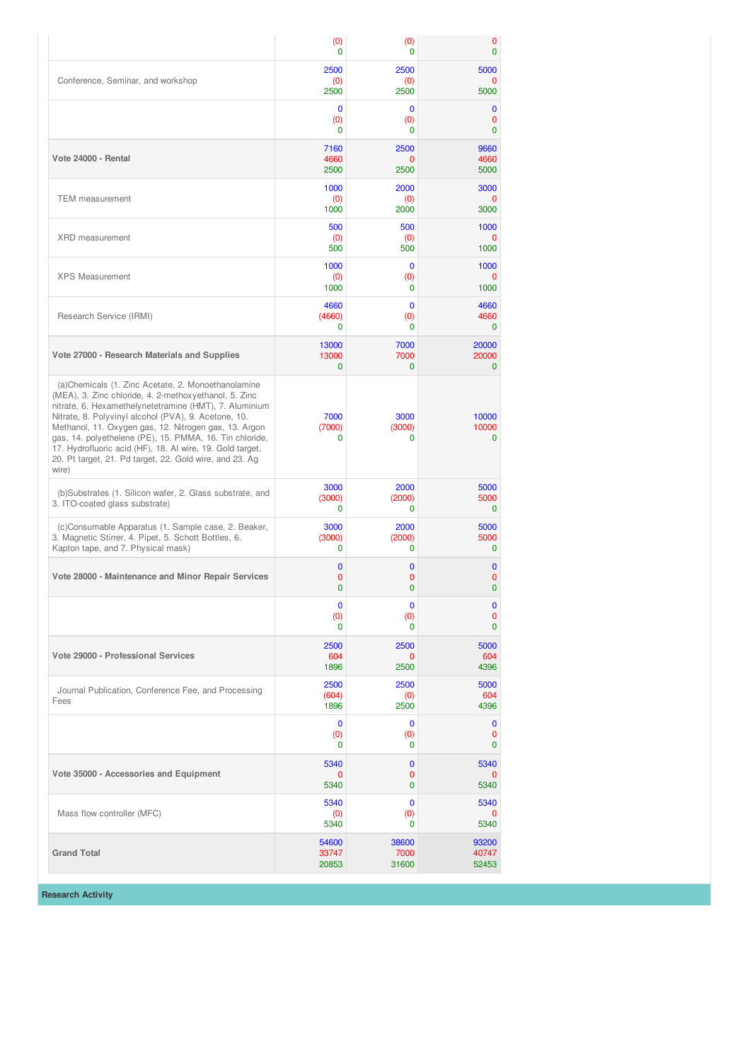|                                                                                                                                                                                                                                                                                                                                                                                                                                                                                    | (0)                           | (0)                            | 0                           |
|------------------------------------------------------------------------------------------------------------------------------------------------------------------------------------------------------------------------------------------------------------------------------------------------------------------------------------------------------------------------------------------------------------------------------------------------------------------------------------|-------------------------------|--------------------------------|-----------------------------|
|                                                                                                                                                                                                                                                                                                                                                                                                                                                                                    | $\Omega$                      | $\Omega$                       | 0                           |
| Conference, Seminar, and workshop                                                                                                                                                                                                                                                                                                                                                                                                                                                  | 2500                          | 2500                           | 5000                        |
|                                                                                                                                                                                                                                                                                                                                                                                                                                                                                    | (0)                           | (0)                            | 0                           |
|                                                                                                                                                                                                                                                                                                                                                                                                                                                                                    | 2500                          | 2500                           | 5000                        |
|                                                                                                                                                                                                                                                                                                                                                                                                                                                                                    | $\mathbf 0$                   | 0                              | 0                           |
|                                                                                                                                                                                                                                                                                                                                                                                                                                                                                    | (0)                           | (0)                            | 0                           |
|                                                                                                                                                                                                                                                                                                                                                                                                                                                                                    | $\Omega$                      | 0                              | 0                           |
| Vote 24000 - Rental                                                                                                                                                                                                                                                                                                                                                                                                                                                                | 7160                          | 2500                           | 9660                        |
|                                                                                                                                                                                                                                                                                                                                                                                                                                                                                    | 4660                          | 0                              | 4660                        |
|                                                                                                                                                                                                                                                                                                                                                                                                                                                                                    | 2500                          | 2500                           | 5000                        |
| <b>TEM</b> measurement                                                                                                                                                                                                                                                                                                                                                                                                                                                             | 1000                          | 2000                           | 3000                        |
|                                                                                                                                                                                                                                                                                                                                                                                                                                                                                    | (0)                           | (0)                            | 0                           |
|                                                                                                                                                                                                                                                                                                                                                                                                                                                                                    | 1000                          | 2000                           | 3000                        |
| <b>XRD</b> measurement                                                                                                                                                                                                                                                                                                                                                                                                                                                             | 500                           | 500                            | 1000                        |
|                                                                                                                                                                                                                                                                                                                                                                                                                                                                                    | (0)                           | (0)                            | 0                           |
|                                                                                                                                                                                                                                                                                                                                                                                                                                                                                    | 500                           | 500                            | 1000                        |
| <b>XPS Measurement</b>                                                                                                                                                                                                                                                                                                                                                                                                                                                             | 1000                          | $\mathbf 0$                    | 1000                        |
|                                                                                                                                                                                                                                                                                                                                                                                                                                                                                    | (0)                           | (0)                            | 0                           |
|                                                                                                                                                                                                                                                                                                                                                                                                                                                                                    | 1000                          | $\mathbf 0$                    | 1000                        |
| Research Service (IRMI)                                                                                                                                                                                                                                                                                                                                                                                                                                                            | 4660                          | $\mathbf 0$                    | 4660                        |
|                                                                                                                                                                                                                                                                                                                                                                                                                                                                                    | (4660)                        | (0)                            | 4660                        |
|                                                                                                                                                                                                                                                                                                                                                                                                                                                                                    | $\Omega$                      | 0                              | $\mathbf 0$                 |
| Vote 27000 - Research Materials and Supplies                                                                                                                                                                                                                                                                                                                                                                                                                                       | 13000                         | 7000                           | 20000                       |
|                                                                                                                                                                                                                                                                                                                                                                                                                                                                                    | 13000                         | 7000                           | 20000                       |
|                                                                                                                                                                                                                                                                                                                                                                                                                                                                                    | $\Omega$                      | $\Omega$                       | $\mathbf 0$                 |
| (a)Chemicals (1. Zinc Acetate, 2. Monoethanolamine<br>(MEA), 3. Zinc chloride, 4. 2-methoxyethanol, 5. Zinc<br>nitrate, 6. Hexamethelynetetramine (HMT), 7. Aluminium<br>Nitrate, 8. Polyvinyl alcohol (PVA), 9. Acetone, 10.<br>Methanol, 11. Oxygen gas, 12. Nitrogen gas, 13. Argon<br>gas, 14. polyethelene (PE), 15. PMMA, 16. Tin chloride,<br>17. Hydrofluoric acid (HF), 18. Al wire, 19. Gold target,<br>20. Pt target, 21. Pd target, 22. Gold wire, and 23. Ag<br>wire) | 7000<br>(7000)<br>$\Omega$    | 3000<br>(3000)<br>$\Omega$     | 10000<br>10000<br>0         |
| (b)Substrates (1. Silicon wafer, 2. Glass substrate, and<br>3. ITO-coated glass substrate)                                                                                                                                                                                                                                                                                                                                                                                         | 3000<br>(3000)<br>$\mathbf 0$ | 2000<br>(2000)<br>$\mathbf{0}$ | 5000<br>5000<br>$\mathbf 0$ |
| (c)Consumable Apparatus (1. Sample case, 2. Beaker,                                                                                                                                                                                                                                                                                                                                                                                                                                | 3000                          | 2000                           | 5000                        |
| 3. Magnetic Stirrer, 4. Pipet, 5. Schott Bottles, 6.                                                                                                                                                                                                                                                                                                                                                                                                                               | (3000)                        | (2000)                         | 5000                        |
| Kapton tape, and 7. Physical mask)                                                                                                                                                                                                                                                                                                                                                                                                                                                 | $\mathbf 0$                   | 0                              | $\mathbf 0$                 |
| Vote 28000 - Maintenance and Minor Repair Services                                                                                                                                                                                                                                                                                                                                                                                                                                 | 0                             | $\mathbf{0}$                   | 0                           |
|                                                                                                                                                                                                                                                                                                                                                                                                                                                                                    | 0                             | 0                              | 0                           |
|                                                                                                                                                                                                                                                                                                                                                                                                                                                                                    | 0                             | 0                              | 0                           |
|                                                                                                                                                                                                                                                                                                                                                                                                                                                                                    | 0                             | 0                              | $\mathbf 0$                 |
|                                                                                                                                                                                                                                                                                                                                                                                                                                                                                    | (0)                           | (0)                            | 0                           |
|                                                                                                                                                                                                                                                                                                                                                                                                                                                                                    | $\Omega$                      | $\Omega$                       | 0                           |
| Vote 29000 - Professional Services                                                                                                                                                                                                                                                                                                                                                                                                                                                 | 2500                          | 2500                           | 5000                        |
|                                                                                                                                                                                                                                                                                                                                                                                                                                                                                    | 604                           | 0                              | 604                         |
|                                                                                                                                                                                                                                                                                                                                                                                                                                                                                    | 1896                          | 2500                           | 4396                        |
| Journal Publication, Conference Fee, and Processing<br>Fees                                                                                                                                                                                                                                                                                                                                                                                                                        | 2500<br>(604)<br>1896         | 2500<br>(0)<br>2500            | 5000<br>604<br>4396         |
|                                                                                                                                                                                                                                                                                                                                                                                                                                                                                    | $\mathbf 0$                   | $\mathbf 0$                    | $\bf{0}$                    |
|                                                                                                                                                                                                                                                                                                                                                                                                                                                                                    | (0)                           | (0)                            | 0                           |
|                                                                                                                                                                                                                                                                                                                                                                                                                                                                                    | $\mathbf 0$                   | 0                              | 0                           |
| Vote 35000 - Accessories and Equipment                                                                                                                                                                                                                                                                                                                                                                                                                                             | 5340                          | $\mathbf{0}$                   | 5340                        |
|                                                                                                                                                                                                                                                                                                                                                                                                                                                                                    | 0                             | 0                              | 0                           |
|                                                                                                                                                                                                                                                                                                                                                                                                                                                                                    | 5340                          | $\mathbf{0}$                   | 5340                        |
| Mass flow controller (MFC)                                                                                                                                                                                                                                                                                                                                                                                                                                                         | 5340                          | $\mathbf{0}$                   | 5340                        |
|                                                                                                                                                                                                                                                                                                                                                                                                                                                                                    | (0)                           | (0)                            | 0                           |
|                                                                                                                                                                                                                                                                                                                                                                                                                                                                                    | 5340                          | 0                              | 5340                        |
| <b>Grand Total</b>                                                                                                                                                                                                                                                                                                                                                                                                                                                                 | 54600                         | 38600                          | 93200                       |
|                                                                                                                                                                                                                                                                                                                                                                                                                                                                                    | 33747                         | 7000                           | 40747                       |
|                                                                                                                                                                                                                                                                                                                                                                                                                                                                                    | 20853                         | 31600                          | 52453                       |

**Research Activity**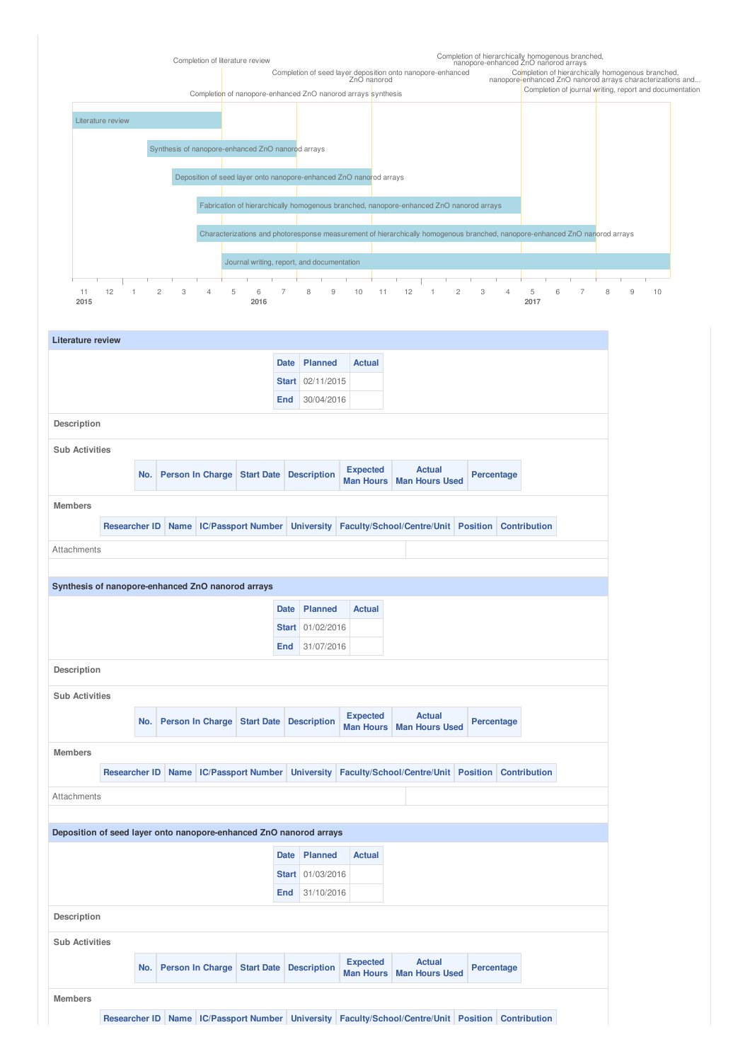

| <b>Literature review</b>                                           |                      |     |                                                      |              |                                         |                                     |                                                                                                   |            |                     |
|--------------------------------------------------------------------|----------------------|-----|------------------------------------------------------|--------------|-----------------------------------------|-------------------------------------|---------------------------------------------------------------------------------------------------|------------|---------------------|
|                                                                    |                      |     |                                                      | <b>Date</b>  | Planned                                 | <b>Actual</b>                       |                                                                                                   |            |                     |
|                                                                    |                      |     |                                                      | <b>Start</b> | 02/11/2015                              |                                     |                                                                                                   |            |                     |
|                                                                    |                      |     |                                                      | End          | 30/04/2016                              |                                     |                                                                                                   |            |                     |
| Description                                                        |                      |     |                                                      |              |                                         |                                     |                                                                                                   |            |                     |
| <b>Sub Activities</b>                                              |                      |     |                                                      |              |                                         |                                     |                                                                                                   |            |                     |
|                                                                    |                      | No. | Person In Charge Start Date                          |              | <b>Description</b>                      | <b>Expected</b><br>Man Hours        | <b>Actual</b><br><b>Man Hours Used</b>                                                            |            | Percentage          |
| <b>Members</b>                                                     |                      |     |                                                      |              |                                         |                                     |                                                                                                   |            |                     |
|                                                                    |                      |     | Researcher ID Name   IC/Passport Number   University |              |                                         |                                     | Faculty/School/Centre/Unit Position Contribution                                                  |            |                     |
| Attachments                                                        |                      |     |                                                      |              |                                         |                                     |                                                                                                   |            |                     |
|                                                                    |                      |     |                                                      |              |                                         |                                     |                                                                                                   |            |                     |
| Synthesis of nanopore-enhanced ZnO nanorod arrays                  |                      |     |                                                      |              |                                         |                                     |                                                                                                   |            |                     |
|                                                                    |                      |     |                                                      | <b>Date</b>  | <b>Planned</b>                          | <b>Actual</b>                       |                                                                                                   |            |                     |
|                                                                    |                      |     |                                                      | <b>Start</b> | 01/02/2016                              |                                     |                                                                                                   |            |                     |
|                                                                    |                      |     |                                                      | End          | 31/07/2016                              |                                     |                                                                                                   |            |                     |
| Description                                                        |                      |     |                                                      |              |                                         |                                     |                                                                                                   |            |                     |
| <b>Sub Activities</b>                                              |                      |     |                                                      |              |                                         |                                     |                                                                                                   |            |                     |
|                                                                    |                      |     |                                                      |              |                                         | <b>Expected</b>                     | <b>Actual</b>                                                                                     |            |                     |
|                                                                    |                      | No. | Person In Charge Start Date                          |              | <b>Description</b>                      | <b>Man Hours</b>                    | <b>Man Hours Used</b>                                                                             | Percentage |                     |
| <b>Members</b>                                                     |                      |     |                                                      |              |                                         |                                     |                                                                                                   |            |                     |
|                                                                    | <b>Researcher ID</b> |     | Name   IC/Passport Number                            |              | <b>University</b>                       |                                     | Faculty/School/Centre/Unit Position                                                               |            | <b>Contribution</b> |
| Attachments                                                        |                      |     |                                                      |              |                                         |                                     |                                                                                                   |            |                     |
|                                                                    |                      |     |                                                      |              |                                         |                                     |                                                                                                   |            |                     |
| Deposition of seed layer onto nanopore-enhanced ZnO nanorod arrays |                      |     |                                                      |              |                                         |                                     |                                                                                                   |            |                     |
|                                                                    |                      |     |                                                      | <b>Date</b>  | <b>Planned</b>                          | <b>Actual</b>                       |                                                                                                   |            |                     |
|                                                                    |                      |     |                                                      | <b>Start</b> | 01/03/2016                              |                                     |                                                                                                   |            |                     |
|                                                                    |                      |     |                                                      | End          | 31/10/2016                              |                                     |                                                                                                   |            |                     |
| Description                                                        |                      |     |                                                      |              |                                         |                                     |                                                                                                   |            |                     |
| <b>Sub Activities</b>                                              |                      |     |                                                      |              |                                         |                                     |                                                                                                   |            |                     |
|                                                                    |                      | No. |                                                      |              | Person In Charge Start Date Description | <b>Expected</b><br><b>Man Hours</b> | <b>Actual</b><br><b>Man Hours Used</b>                                                            |            | Percentage          |
|                                                                    |                      |     |                                                      |              |                                         |                                     |                                                                                                   |            |                     |
| <b>Members</b>                                                     |                      |     |                                                      |              |                                         |                                     |                                                                                                   |            |                     |
|                                                                    |                      |     |                                                      |              |                                         |                                     | Researcher ID Name IC/Passport Number University Faculty/School/Centre/Unit Position Contribution |            |                     |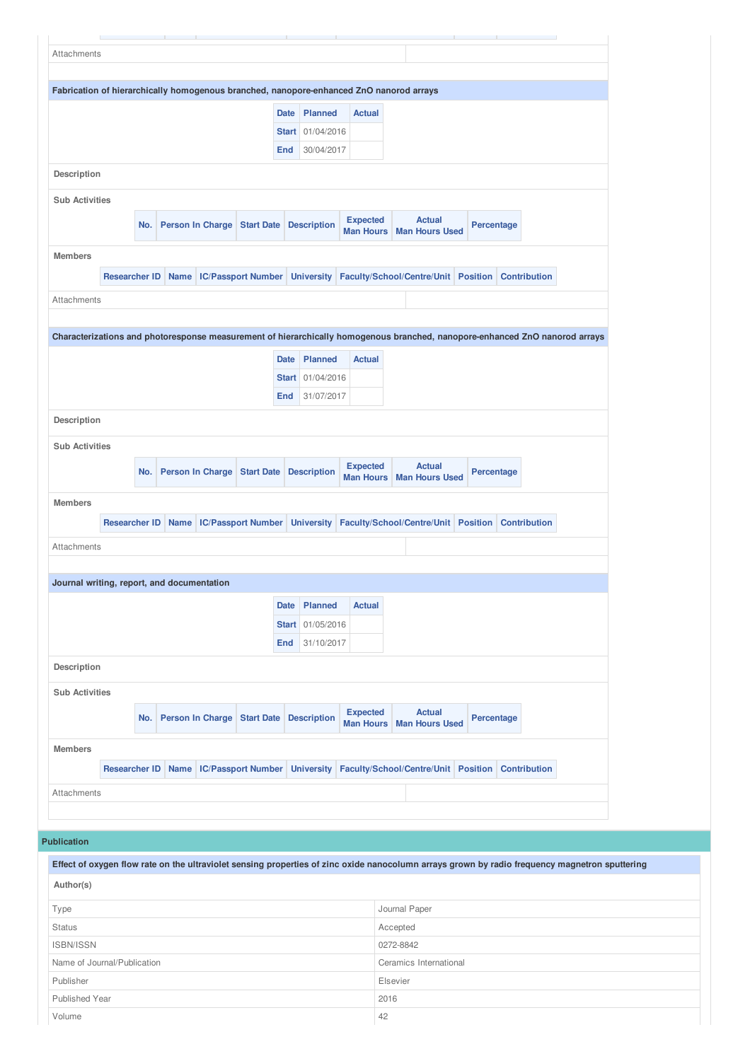| Fabrication of hierarchically homogenous branched, nanopore-enhanced ZnO nanorod arrays                                                                                                                             | No.<br><b>Researcher ID</b>             | Name | Person In Charge Start Date<br><b>IC/Passport Number</b> | <b>Date</b><br><b>Start</b><br>End | <b>Planned</b><br>01/04/2016<br>30/04/2017<br><b>Description</b><br><b>University</b> | <b>Actual</b><br><b>Expected</b><br><b>Man Hours</b><br>Faculty/School/Centre/Unit Position Contribution | <b>Actual</b><br><b>Man Hours Used</b> | Percentage |                                                                                     |  |
|---------------------------------------------------------------------------------------------------------------------------------------------------------------------------------------------------------------------|-----------------------------------------|------|----------------------------------------------------------|------------------------------------|---------------------------------------------------------------------------------------|----------------------------------------------------------------------------------------------------------|----------------------------------------|------------|-------------------------------------------------------------------------------------|--|
|                                                                                                                                                                                                                     |                                         |      |                                                          |                                    |                                                                                       |                                                                                                          |                                        |            |                                                                                     |  |
| Description<br><b>Sub Activities</b><br><b>Members</b><br>Attachments<br>Characterizations and photoresponse measurement of hierarchically homogenous branched, nanopore-enhanced ZnO nanorod arrays<br>Description |                                         |      |                                                          |                                    |                                                                                       |                                                                                                          |                                        |            |                                                                                     |  |
|                                                                                                                                                                                                                     |                                         |      |                                                          |                                    |                                                                                       |                                                                                                          |                                        |            |                                                                                     |  |
|                                                                                                                                                                                                                     |                                         |      |                                                          |                                    |                                                                                       |                                                                                                          |                                        |            |                                                                                     |  |
|                                                                                                                                                                                                                     |                                         |      |                                                          |                                    |                                                                                       |                                                                                                          |                                        |            |                                                                                     |  |
|                                                                                                                                                                                                                     |                                         |      |                                                          |                                    |                                                                                       |                                                                                                          |                                        |            |                                                                                     |  |
|                                                                                                                                                                                                                     |                                         |      |                                                          |                                    |                                                                                       |                                                                                                          |                                        |            |                                                                                     |  |
|                                                                                                                                                                                                                     |                                         |      |                                                          |                                    |                                                                                       |                                                                                                          |                                        |            |                                                                                     |  |
|                                                                                                                                                                                                                     |                                         |      |                                                          |                                    |                                                                                       |                                                                                                          |                                        |            |                                                                                     |  |
|                                                                                                                                                                                                                     |                                         |      |                                                          |                                    |                                                                                       |                                                                                                          |                                        |            |                                                                                     |  |
|                                                                                                                                                                                                                     |                                         |      |                                                          |                                    |                                                                                       |                                                                                                          |                                        |            |                                                                                     |  |
|                                                                                                                                                                                                                     |                                         |      |                                                          |                                    |                                                                                       |                                                                                                          |                                        |            |                                                                                     |  |
|                                                                                                                                                                                                                     |                                         |      |                                                          |                                    |                                                                                       |                                                                                                          |                                        |            |                                                                                     |  |
|                                                                                                                                                                                                                     |                                         |      |                                                          |                                    |                                                                                       |                                                                                                          |                                        |            |                                                                                     |  |
|                                                                                                                                                                                                                     |                                         |      |                                                          | <b>Date</b>                        | Planned                                                                               | <b>Actual</b>                                                                                            |                                        |            |                                                                                     |  |
|                                                                                                                                                                                                                     |                                         |      |                                                          |                                    | Start 01/04/2016                                                                      |                                                                                                          |                                        |            |                                                                                     |  |
|                                                                                                                                                                                                                     |                                         |      |                                                          | End                                | 31/07/2017                                                                            |                                                                                                          |                                        |            |                                                                                     |  |
|                                                                                                                                                                                                                     |                                         |      |                                                          |                                    |                                                                                       |                                                                                                          |                                        |            |                                                                                     |  |
| <b>Sub Activities</b>                                                                                                                                                                                               |                                         |      |                                                          |                                    |                                                                                       |                                                                                                          |                                        |            |                                                                                     |  |
|                                                                                                                                                                                                                     |                                         |      |                                                          |                                    |                                                                                       |                                                                                                          | <b>Actual</b>                          |            |                                                                                     |  |
|                                                                                                                                                                                                                     | No.                                     |      | Person In Charge Start Date                              |                                    | <b>Description</b>                                                                    | <b>Expected</b><br>Man Hours   Man Hours Used                                                            |                                        | Percentage |                                                                                     |  |
| <b>Members</b>                                                                                                                                                                                                      |                                         |      |                                                          |                                    |                                                                                       |                                                                                                          |                                        |            |                                                                                     |  |
|                                                                                                                                                                                                                     | Researcher ID Name   IC/Passport Number |      |                                                          |                                    | <b>University</b>                                                                     |                                                                                                          |                                        |            | Faculty/School/Centre/Unit Position Contribution                                    |  |
|                                                                                                                                                                                                                     |                                         |      |                                                          |                                    |                                                                                       |                                                                                                          |                                        |            |                                                                                     |  |
| Attachments                                                                                                                                                                                                         |                                         |      |                                                          |                                    |                                                                                       |                                                                                                          |                                        |            |                                                                                     |  |
|                                                                                                                                                                                                                     |                                         |      |                                                          |                                    |                                                                                       |                                                                                                          |                                        |            |                                                                                     |  |
| Journal writing, report, and documentation                                                                                                                                                                          |                                         |      |                                                          |                                    |                                                                                       |                                                                                                          |                                        |            |                                                                                     |  |
|                                                                                                                                                                                                                     |                                         |      |                                                          | <b>Date</b>                        | Planned                                                                               | <b>Actual</b>                                                                                            |                                        |            |                                                                                     |  |
|                                                                                                                                                                                                                     |                                         |      |                                                          |                                    | Start 01/05/2016                                                                      |                                                                                                          |                                        |            |                                                                                     |  |
|                                                                                                                                                                                                                     |                                         |      |                                                          | End                                | 31/10/2017                                                                            |                                                                                                          |                                        |            |                                                                                     |  |
| Description                                                                                                                                                                                                         |                                         |      |                                                          |                                    |                                                                                       |                                                                                                          |                                        |            |                                                                                     |  |
| <b>Sub Activities</b>                                                                                                                                                                                               |                                         |      |                                                          |                                    |                                                                                       |                                                                                                          |                                        |            |                                                                                     |  |
|                                                                                                                                                                                                                     |                                         |      |                                                          |                                    |                                                                                       | <b>Expected</b>                                                                                          | <b>Actual</b>                          |            |                                                                                     |  |
|                                                                                                                                                                                                                     | No.                                     |      | Person In Charge Start Date                              |                                    | <b>Description</b>                                                                    | Man Hours   Man Hours Used                                                                               |                                        | Percentage |                                                                                     |  |
| <b>Members</b>                                                                                                                                                                                                      |                                         |      |                                                          |                                    |                                                                                       |                                                                                                          |                                        |            |                                                                                     |  |
|                                                                                                                                                                                                                     |                                         |      |                                                          |                                    |                                                                                       |                                                                                                          |                                        |            |                                                                                     |  |
|                                                                                                                                                                                                                     | <b>Researcher ID</b>                    |      |                                                          |                                    |                                                                                       |                                                                                                          |                                        |            | Name IC/Passport Number University Faculty/School/Centre/Unit Position Contribution |  |
| Attachments                                                                                                                                                                                                         |                                         |      |                                                          |                                    |                                                                                       |                                                                                                          |                                        |            |                                                                                     |  |

| Effect of oxygen flow rate on the ultraviolet sensing properties of zinc oxide nanocolumn arrays grown by radio frequency magnetron sputtering |                        |  |  |  |  |
|------------------------------------------------------------------------------------------------------------------------------------------------|------------------------|--|--|--|--|
| Author(s)                                                                                                                                      |                        |  |  |  |  |
| Type                                                                                                                                           | Journal Paper          |  |  |  |  |
| <b>Status</b>                                                                                                                                  | Accepted               |  |  |  |  |
| <b>ISBN/ISSN</b>                                                                                                                               | 0272-8842              |  |  |  |  |
| Name of Journal/Publication                                                                                                                    | Ceramics International |  |  |  |  |
| Publisher                                                                                                                                      | Elsevier               |  |  |  |  |
| <b>Published Year</b>                                                                                                                          | 2016                   |  |  |  |  |
| Volume                                                                                                                                         | 42                     |  |  |  |  |